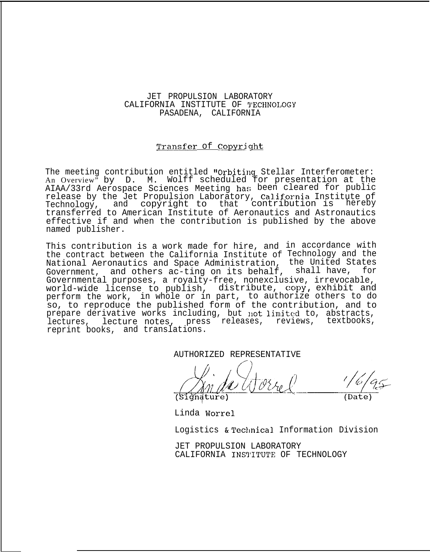## JET PROPULSION LABORATORY CALIFORNIA INSTITUTE OF '1'ECHNOLOGY PASADENA, CALIFORNIA

## Transfer of Copyright

The meeting contribution entitled "Orbiting Stellar Interferometer: An Overview" by D. M. Wolff scheduled for presentation at the AIAA/33rd Aerospace Sciences Meeting has been cleared for public release by the Jet Propulsion Laboratory, california Institute of Technology, and copyright to that contribution is hereby transferred to American Institute of Aeronautics and Astronautics effective if and when the contribution is published by the above named publisher.

This contribution is a work made for hire, and in accordance with the contract between the California Institute of Technology and the National Aeronautics and Space Administration, the United States Government, and others ac-ting on its behalf, shall have, for Governmental purposes, a royalty-free, nonexclusive, irrevocable, world-wide license to publish, distribute, copy, exhibit and perform the work, in whole or in part, to authorize others to do so, to reproduce the published form of the contribution, and to prepare derivative works including, but not limited to, abstracts, lectures, lecture notes, press releases, reviews, textbooks, reprint books, and translations.

AUTHORIZED REPRESENTATIVE

Linda Worrel

Logistics & Technical Information Division

JET PROPULSION LABORATORY CALIFORNIA INSTITUTE OF TECHNOLOGY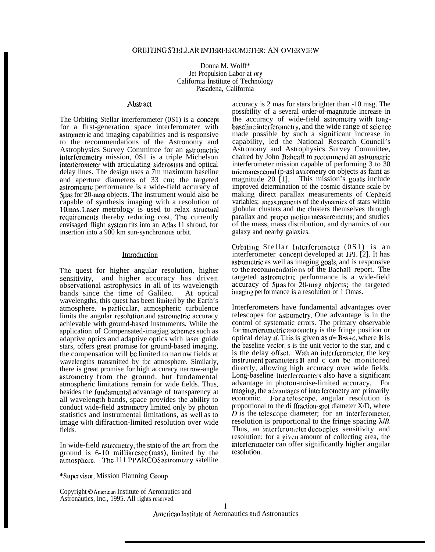Donna M. Wolff\* Jet Propulsion Labor-at ory California Institute of Technology Pasadena, California

#### Abstract

The Orbiting Stellar interferometer (0S1) is a concept for a first-generation space interferometer with astrometric and imaging capabilities and is responsive to the recommendations of the Astronomy and Astrophysics Survey Committee for an astrometric interferometry mission, 0S1 is a triple Michelson interfcromelcr with articulating siderostats and optical delay lines. The design uses a 7m maximum baseline and aperture diameters of 33 cm; the targeted astromctric performance is a wide-field accuracy of 5 fuator 20-mag objects. The instrument would also be capable of synthesis imaging with a resolution of IOmas. 1.aser metrology is used to relax structual requirements thereby reducing cost, The currently envisaged flight syslcm fits into an Adas 11 shroud, for insertion into a 900 km sun-synchronous orbit.

#### Introduction

The quest for higher angular resolution, higher sensitivity, and higher accuracy has driven observational astrophysics in all of its wavelength bands since the time of Galileo. At optical wavelengths, this quest has been limited by the Earth's atmosphere. **In particular**, atmospheric turbulence limits the angular resolution and astrometric accuracy achievable with ground-based instruments. While the application of Compensated-imagiag schcmcs such as adaptive optics and adaptive optics with laser guide stars, offers great promise for ground-based imaging, the compensation will bc limited to narrow fields at wavelengths transmitted by tbc atmosphere. Similarly, there is great promise for high accuracy narrow-angle astromctry from the ground, but fundamental atmospheric limitations remain for wide fields. Thus, besides the fundamental advantage of transparency at all wavelength bands, space provides the ability to conduct wide-field astromctry limited only by photon statistics and instrumental limitations, as WCII as to image with diffraction-limited resolution over wide fields.

In wide-field astrometry, the state of the art from the ground is 6-10 milliarcscc (mas), limited by the atmosphere. The 111 PPARCOS astrometry satellite accuracy is 2 mas for stars brighter than -10 msg. The possibility of a several order-of-magnitude increase in the accuracy of wide-field astromctry with longbaselinc interferomctry, and the wide range of scicncc made possible by such a significant increase in capability, led the National Research Council's Astronomy and Astrophysics Survey Committee, chaired by John Bahcall, to recommend an astrometric interferometer mission capable of performing 3 to 30 microarcsecond (p-as) astrometry on objects as faint as magnitude  $20$  [1]. This mission's goals include improved determination of the cosmic distance scale by making direct parallax measurements of Cepheid variables; measurements of the dynamics of stars within globular clusters and the clusters themselves through parallax and proper motion measurements; and studies of the mass, mass distribution, and dynamics of our galaxy and nearby galaxies.

Orbiting Stellar Interferometer  $(0S1)$  is an interferometer concept developed at JPL [2]. It has astromctric as well as imaging goals, and is responsive to the recommendations of the Bachall report. The targeted astromctric performance is a wide-field accuracy of 5 µ as for 20-mag objects; the targeted imaging performance is a resolution of 1 Omas.

Interferometers have fundamental advantages over telescopes for astromctry. One advantage is in the control of systematic errors. The primary observable for intcrferomctric astromctry is the fringe position or optical delay d. This is given as  $d=$  **B**\*s+c, where **B** is the baseline vector, s is the unit vector to the star, and c is the delay offset. With an interferometer, the key instrument parameters  $\bf{B}$  and  $\bf{c}$  can be monitored directly, allowing high accuracy over wide fields. Long-baseline interferometers also have a significant advantage in photon-noise-limited accuracy, For imaging, the advantages of interferometry arc primarily economic. For a telescope, angular resolution is proportional to the di ffraction-spot diameter  $X/D$ , where  $D$  is the telescope diameter; for an interferometer, resolution is proportional to the fringe spacing  $\lambda/B$ . Thus, an interferometer decouples sensitivity and resolution; for a given amount of collecting area, the interferometer can offer significantly higher angular resolution.

\*Supervisor, Mission Planning Group

Copyright © American Institute of Aeronautics and Astronautics, Inc., 1995. All rights reserved.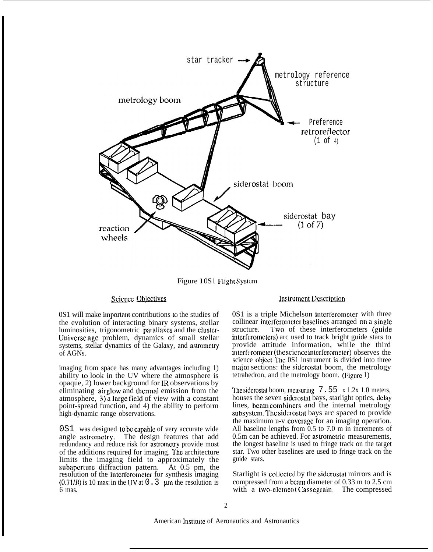

Figure 10S1 Flight System

# ce Objectives

0S1 will make importanl contributions to the studies of the evolution of interacting binary systems, stellar luminosities, trigonometric parallaxes and the cluster-Univcrse agc problem, dynamics of small stellar systems, stellar dynamics of the Galaxy, and astrometry of AGNs.

imaging from space has many advantages including 1) ability to look in the UV where the atmosphere is opaque, 2) lower background for IR observations by eliminating airglow and thermal emission from the atmosphere, 3) a large field of view with a constant point-spread function, and 4) the ability to perform high-dynamic range observations.

0S1 was designed to bc eapablc of very accurate wide angle astromctry. The design features that add redundancy and reduce risk for astromctry provide most of the additions required for imaging. The architecture limits the imaging field to approximately the subapcrture diffraction pattern. At 0.5 pm, the resolution of the intcrfcromctcr for synthesis imaging  $(0.71 / B)$  is 10 mas: in the UV at 0.3 µm the resolution is 6 mas.

## **Instrument Description**

0S1 is a triple Michelson interferometer with three collinear interferometer baselines arranged on a single structure. Two of these interferometers (guide interfcrorneters) arc used to track bright guide stars to provide attitude information, while the third interferometer (the science interferometer) observes the science object. The 0S1 instrument is divided into three majol sections: the sidcrostat boom, the metrology tetrahedron, and the metrology boom. (Figure 1)

The siderostat boom, measuring  $7.55 \times 1.2x$  1.0 meters, houses the seven sidcrostat bays, starlight optics, delay lines, beam combiners and the internal metrology subsystem. The siderostat bays arc spaced to provide the maximum u-v covcragc for an imaging operation. All baseline lengths from 0.5 to 7.0 m in increments of 0.5m can bc achieved. For astromctric measurements, the longest baseline is used to fringe track on the target star. Two other baselines are used to fringe track on the guide stars.

Starlight is collected by the siderostat mirrors and is compressed from a beam diameter of 0.33 m to 2.5 cm with a two-element Cassegrain. The compressed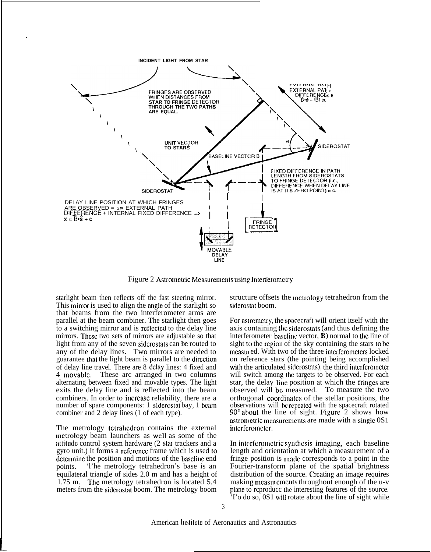

Figure 2 Astrometric Measurements using Interferometry

starlight beam then reflects off the fast steering mirror. This mirror is used to align the angle of the starlight so that beams from the two interferometer arms are parallel at the beam combiner. The starlight then goes to a switching mirror and is reftcctcd to the delay line mirrors. These two sets of mirrors are adjustable so that light from any of the seven siderostats can be routed to any of the delay lines. Two mirrors are needed to guarantee that the light beam is parallel to the direction of delay line travel. There are 8 delay lines: 4 fixed and 4 movable. These arc arranged in two columns alternating between fixed and movable types. The light exits the delay line and is reflected into the beam combiners. In order to incrcasc reliability, there are a number of spare components: 1 siderostat bay, 1 beam combiner and 2 delay lines (1 of each type).

.

The metrology tclrahcdron contains the external metrology beam launchers as well as some of the attitude control system hardware (2 star trackers and a gyro unit.) It forms a reference frame which is used to determine the position and motions of the baseline end points. 'l'he metrology tetrahedron's base is an equilateral triangle of sides 2.0 m and has a height of 1.75 m. The metrology tetrahedron is located 5.4 meters from the sidcrostat boom. The metrology boom

structure offsets the inctrology tetrahedron from the sidcrostat boom.

For astrometry, the spacecraft will orient itself with the axis containing the sidcrostats (and thus defining the interferometer baseline vector,  $\bf{B}$ ) normal to the line of sight to the region of the sky containing the stars to be measured. With two of the three interferometers locked on reference stars (the pointing being accomplished with the articulated siderostats), the third interferometer will switch among the targets to be observed. For each star, the delay line position at which the friugcs are observed will bc measured. To measure the two orthogonal coortlinatcs of the stellar positions, the observations will be repeated with the spacecraft rotated  $90^{\circ}$  about the line of sight. Figure  $2$  shows how astrometric measurements are made with a single  $0S1$ interferometer.

In interferometric synthesis imaging, each baseline length and orientation at which a measurement of a fringe position is made corresponds to a point in the Fourier-transform plane of the spatial brightness distribution of the source. Creating an image requires making measurements throughout enough of the u-v plane to reproduce the interesting features of the source. 'I'o do so, 0S1 will rotate about the line of sight while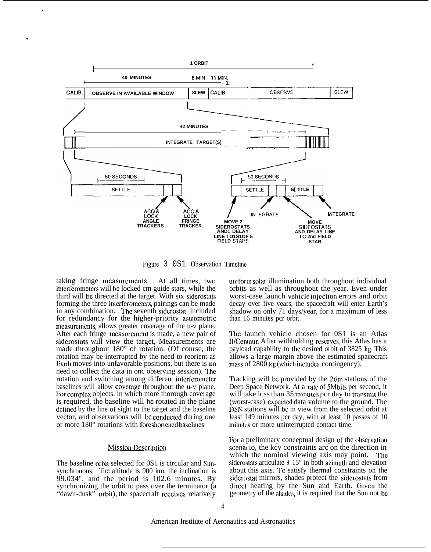

Figure 3 0S1 Observation Timeline

taking fringe mcasurcmcnts. At all times, two intcrfcromctcrs will bc locked cm guide stars, while the third will bc directed at the target. With six sidcrostats forming the three interferometers, pairings can be made in any combination. The seventh siderostat, included for redundancy for the higher-priority astrometric measurements, allows greater coverage of the u-v plane. After each fringe mcasurcmcnt is made, a new pair of sidcrostats will view the target, Measurements are made throughout 180° of rotation. (Of course, the rotation may be interrupted by the need to reorient as Earth moves into unfavorable positions, but there is no need to collect the data in onc observing session). The rotation and switching among different interferometer baselines will allow covcragc throughout the u-v plane. For complex objects, in which more thorough coverage is required, the baseline will bc rotated in the plane defined by the line of sight to the target and the baseline vector, and observations will be conducted during one or more  $180^{\circ}$  rotations with foreshortened baselines.

,

.

#### **Mission Description**

The baseline orbit selected for 0S1 is circular and Sunsynchronous. The altitude is 900 km, the inclination is 99.034°, and the period is 102.6 minutes. By synchronizing the orbit to pass over the terminator (a "dawn-dusk" orbit), the spacecraft rcccivcs relatively

uniform solar illumination both throughout individual orbits as well as throughout the year. Even under worst-case launch vehicle injection errors and orbit decay over five years, the spacecraft will enter Earth's shadow on only 71 days/year, for a maximum of less than 16 minutes pcr orbit.

The launch vehicle chosen for 0S1 is an Atlas II/Centaur. After withholding reserves, this Atlas has a payload capability to the desired orbit of 3825 kg. This allows a large margin above the estimated spacecraft mass of  $2800 \text{ kg}$  (which includes contingency).

Tracking will be provided by the 26m stations of the Deep Space Network. At a rate of 5Mbits per second, it will take lcss than 35 minutes per day to transmit the (worst-case) expcclcd data volume to the ground. The IXN stations will bc in view from the selected orbit at least 149 minutes pcr day, with at least 10 passes of 10 minutes or more uninterrupted contact time.

For a preliminary conceptual design of the observation scenar io, the kcy constraints arc on the direction in which the nominal viewing axis may point. The siderostats articulate  $\pm$  15 $^{\circ}$  in both azimuth and elevation about this axis. To satisfy thermal constraints on the sidcrostat mirrors, shades protect the sidcrostats from direct heating by the Sun and Earth. Given the geometry of the shades, it is required that the Sun not be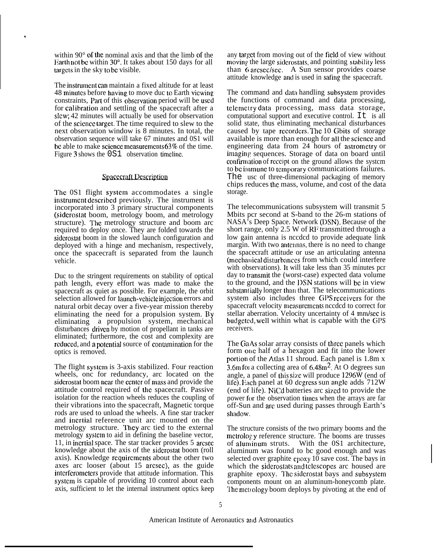within 90° of the nominal axis and that the limb of the Earth not bc within 50°. It takes about 150 days for all targets in the sky to be visible.

.

The instrument can maintain a fixed altitude for at least 48 minutes before having to move duc to Earth viewing constraints, Part of this observation period will be used for calibration and settling of the spacecraft after a slew; 42 minutes will actually be used for observation of the scicncc larget. The time required to slew to the next observation window is 8 minutes. In total, the observation sequence will take 67 minutes and 0S1 will be able to make science measurements 63% of the time. Figure 3 shows the 0S1 observation timelinc.

### **Spacecraft Description**

The 0S1 flight system accommodates a single instrument described previously. The instrument is incorporated into 3 primary structural components (sidcrostat boom, metrology boom, and metrology structure). The metrology structure and boom arc required to deploy once. They are folded towards the sidcrostat boom in the slowed launch configuration and deployed with a hinge and mechanism, respectively, once the spacecraft is separated from the launch vehicle.

Duc to the stringent requirements on stability of optical path length, every effort was made to make the spacecraft as quiet as possible. For example, the orbit selection allowed for launch-vchicle injection errors and natural orbit decay over a five-year mission thereby eliminating the need for a propulsion system. By eliminating a propulsion system, mechanical disturbances driven by motion of propellant in tanks are eliminated; furthermore, the cost and complexity are reduced, and a potential source of contamination for the optics is removed.

The flight systcm is 3-axis stabilized. Four reaction wheels, onc for redundancy, arc located on the siderostat boom near the center of mass and provide the attitude control required of the spacecraft. Passive isolation for the reaction wheels reduces the coupling of their vibrations into the spacecraft, Magnetic torque rods are used to unload the wheels. A fine star tracker and incrtial reference unit arc mounted on the metrology structure. They arc tied to the external metrology systcm to aid in defining the baseline vector, 11, in incrlial space. The star tracker provides 5 arcsec knowledge about the axis of the sidcrostat boom (roll axis). Knowledge rcquircmcnts about the other two axes arc looser (about 15 arcsec), as the guide interferometers provide that attitude information. This systcm is capable of providing 10 control about each axis, sufficient to let the internal instrument optics keep

any target from moving out of the field of view without moving the large siderostats, and pointing stability less than 6 arcscclscc. A Sun sensor provides coarse attitude knowledge and is used in safing the spacecraft.

The command and data handling subsystcm provides the functions of command and data processing, telemetry data processing, mass data storage, computational support and executive control. It is all solid state, thus eliminating mechanical disturbances caused by tape recorders. The 10 Gbits of storage available is more than enough for all the scicncc and engineering data from 24 hours of astrometry or imaging sequences. Storage of data on board until confirmation of receipt on the ground allows the system to be immune to temporary communications failures. The usc of three-dimensional packaging of memory chips reduces the mass, volume, and cost of the data storage.

The telecommunications subsystem will transmit 5 Mbits pcr second at S-band to the 26-m stations of NASA's Deep Space. Network (DSN). Because of the short range, only 2.5 W of RF transmitted through a low gain antenna is nccdcd to provide adequate link margin. With two antennas, there is no need to change the spacecraft attitude or use an articulating antenna (mechaliical disturbauccs from which could interfere with observations). It will take less than 35 minutes pcr day to transmit the (worst-case) expected data volume to the ground, and the I>SN stations will bc in view substantially longer than that. The telecommunications system also includes three GPS receivers for the spacecraft velocity measurements nccdcd to correct for stellar aberration. Velocity uncertainty of 4 mm/sec is budgeted, well within what is capable with the GPS receivers.

The GaAs solar array consists of three panels which form one half of a hexagon and fit into the lower portion of the Atlas 11 shroud. Each panel is  $1.8m x$ 3.6m for a collecting area of  $6.48m<sup>2</sup>$ . At O degrees sun angle, a panel of this size will produce  $1296W$  (end of life). Each panel at 60 degress sun angle adds 712W (end of life). NiCd batteries arc sized to provide the power for the observation times when the arrays are far off-Sun and arc used during passes through Earth's shadow.

The structure consists of the two primary booms and the metrology reference structure. The booms are trusses of aluminum struts. With the 0S1 architecture, aluminum was found to bc good enough and was selected over graphite epoxy 10 save cost. The bays in which the siderostats and telescopes arc housed are graphite epoxy. The siderostat bays and subsystem components mount on an aluminum-honeycomb plate. The metrology boom deploys by pivoting at the end of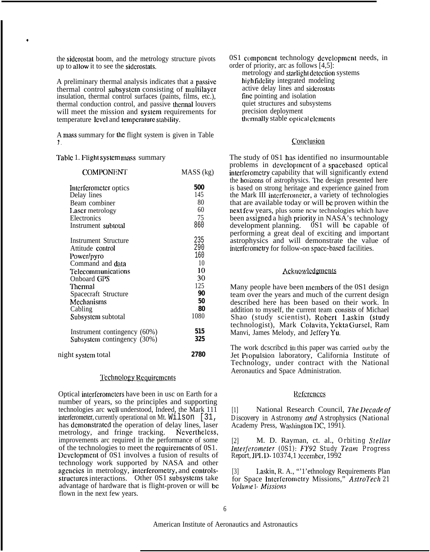the siderostat boom, and the metrology structure pivots up to atlow it to see the sidcrostats.

A preliminary thermal analysis indicates that a passive thermal control subsyslcm consisting of multilaycr insulation, thermal control surfaces (paints, films, etc.), thermal conduction control, and passive thcnnal louvers will meet the mission and system requirements for temperature level and temperature stability.

A mass summary for the flight system is given in Table \* **J .**

Table 1. Flight system mass summary

\*

| <b>COMPONENT</b>             | MASS (kg) |
|------------------------------|-----------|
| Interferometer optics        | 500       |
| Delay lines                  | 145       |
| Beam combiner                | 80        |
| Laser metrology              | 60        |
| Electronics                  | 75        |
| Instrument subtotal          | 860       |
| <b>Instrument Structure</b>  | 235       |
| Attitude control             | 290       |
| Power/pyro                   | 160       |
| Command and data             | 10        |
| Telecommunications           | 10        |
| <b>Onboard GPS</b>           | 30        |
| Thermal                      | 125       |
| Spacecraft Structure         | 90        |
| Mechanisms                   | 50        |
| Cabling                      | 80        |
| Subsystem subtotal           | 1080      |
| Instrument contingency (60%) | 515       |
| Subsystem contingency (30%)  | 325       |
| night system total           | 2780      |

#### Technology Requirements

Optical intcrfcromctcrs have been in usc on Earth for a number of years, so the principles and supporting technologies arc WCII understood, Indeed, the Mark 111 interferometer, currently operational on Mt. Wilson [31, has demonstrated the operation of delay lines, laser metrology, and fringe tracking. Nevertheless, improvements arc required in the performance of some of the technologies to meet the rcquircmcnts of 0S1. Dcvclopmcnt of 0S1 involves a fusion of results of technology work supported by NASA and other agcncics in metrology, intcrfcromctry, and controlsstructures interactions. Other 0S1 subsystems take advantage of hardware that is flight-proven or will bc flown in the next few years.

0S1 component technology development needs, in order of priority, arc as follows [4,5]:

metrology and starlight detection systems high fidelity integrated modeling active delay lines and sidcrostats fine pointing and isolation quiet structures and subsystems precision deployment thermally stable optical elements

#### Conclusion

The study of 0S1 has identified no insurmountable problems in dcvclopmcnt of a spaccbased optical interferometry capability that will significantly extend the horizons of astrophysics. The design presented here is based on strong heritage and experience gained from the Mark III interferometer, a variety of technologies that are available today or will bc proven within the next few years, plus some ncw technologies which have been assigned a high priority in NASA's technology development planning. 0S1 will be capable of performing a great deal of exciting and important astrophysics and will demonstrate the value of interferometry for follow-on space-based facilities.

#### Acknowledgments

Many people have been members of the 0S1 design team over the years and much of the current design described here has been based on their work. In addition to myself, the current team consists of Michael Shao (study scientist), Robert l.askin (study technologist), Mark Colavita, Yckla Gurscl, Ram Manvi, James Melody, and Jcffcry Yu.

The work dcscribcd in this paper was carried out by the Jet Propulsion laboratory, California Institute of Technology, under contract with the National Aeronautics and Space Administration.

#### **References**

National Research Council, The Decade of *Discovery in Astronomy and Astrophysics* (National Academy Press, Washington DC, 1991).

[2] M. D. Rayman, ct. al., *Orbiting Stellar Irrterjeromeler (0S1):* F'Y92 *Study Team Progress Report, JPL D* - 10374, 1 becember, 1992

[3] I.askin, R. A., "'1'ethnology Requirements Plan for Space Interferometry Missions," AstroTech 21 *Volume I- Missions*